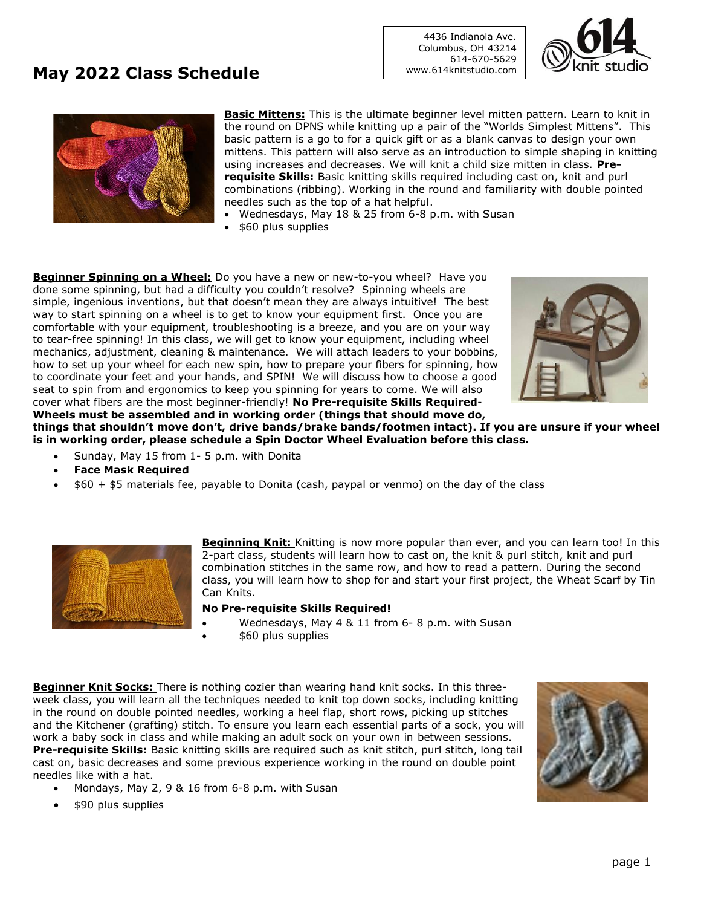## **May 2022 Class Schedule**

4436 Indianola Ave. Columbus, OH 43214 614-670-5629 www.614knitstudio.com





**Basic Mittens:** This is the ultimate beginner level mitten pattern. Learn to knit in the round on DPNS while knitting up a pair of the "Worlds Simplest Mittens". This basic pattern is a go to for a quick gift or as a blank canvas to design your own mittens. This pattern will also serve as an introduction to simple shaping in knitting using increases and decreases. We will knit a child size mitten in class. **Prerequisite Skills:** Basic knitting skills required including cast on, knit and purl combinations (ribbing). Working in the round and familiarity with double pointed needles such as the top of a hat helpful.

- Wednesdays, May 18 & 25 from 6-8 p.m. with Susan
- \$60 plus supplies

**Beginner Spinning on a Wheel:** Do you have a new or new-to-you wheel? Have you done some spinning, but had a difficulty you couldn't resolve? Spinning wheels are simple, ingenious inventions, but that doesn't mean they are always intuitive! The best way to start spinning on a wheel is to get to know your equipment first. Once you are comfortable with your equipment, troubleshooting is a breeze, and you are on your way to tear-free spinning! In this class, we will get to know your equipment, including wheel mechanics, adjustment, cleaning & maintenance. We will attach leaders to your bobbins, how to set up your wheel for each new spin, how to prepare your fibers for spinning, how to coordinate your feet and your hands, and SPIN! We will discuss how to choose a good seat to spin from and ergonomics to keep you spinning for years to come. We will also cover what fibers are the most beginner-friendly! **No Pre-requisite Skills Required**-**Wheels must be assembled and in working order (things that should move do,** 



**things that shouldn't move don't, drive bands/brake bands/footmen intact). If you are unsure if your wheel is in working order, please schedule a Spin Doctor Wheel Evaluation before this class.**

- Sunday, May 15 from 1- 5 p.m. with Donita
- **Face Mask Required**
- \$60 + \$5 materials fee, payable to Donita (cash, paypal or venmo) on the day of the class



**Beginning Knit:** Knitting is now more popular than ever, and you can learn too! In this 2-part class, students will learn how to cast on, the knit & purl stitch, knit and purl combination stitches in the same row, and how to read a pattern. During the second class, you will learn how to shop for and start your first project, the Wheat Scarf by Tin Can Knits.

#### **No Pre-requisite Skills Required!**

- Wednesdays, May 4 & 11 from 6- 8 p.m. with Susan
- \$60 plus supplies

**Beginner Knit Socks:** There is nothing cozier than wearing hand knit socks. In this threeweek class, you will learn all the techniques needed to knit top down socks, including knitting in the round on double pointed needles, working a heel flap, short rows, picking up stitches and the Kitchener (grafting) stitch. To ensure you learn each essential parts of a sock, you will work a baby sock in class and while making an adult sock on your own in between sessions. **Pre-requisite Skills:** Basic knitting skills are required such as knit stitch, purl stitch, long tail cast on, basic decreases and some previous experience working in the round on double point needles like with a hat.

- Mondays, May 2, 9 & 16 from 6-8 p.m. with Susan
- \$90 plus supplies

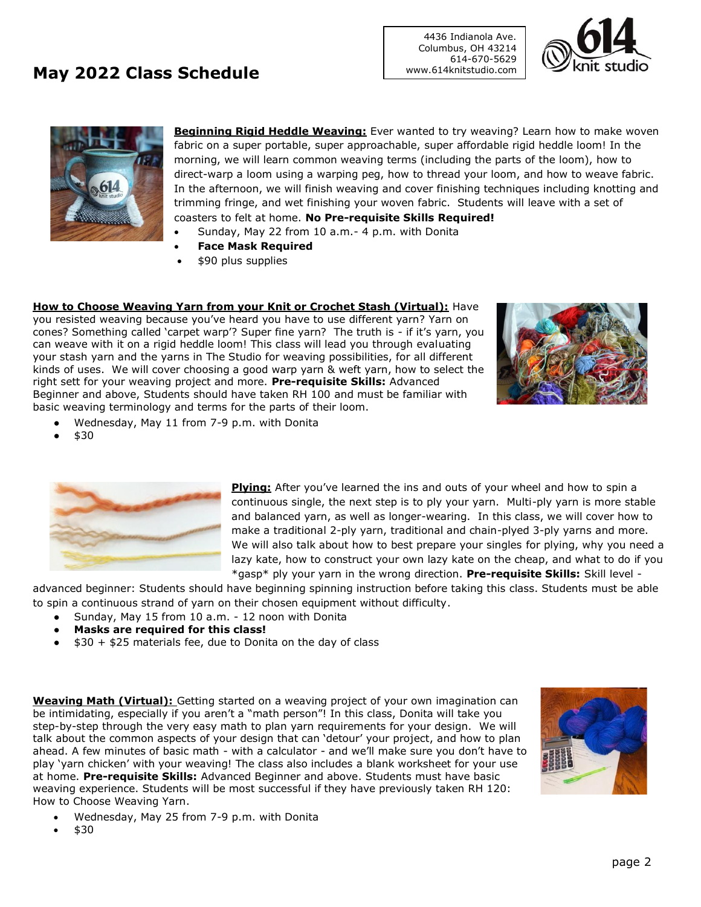## **May 2022 Class Schedule**

4436 Indianola Ave. Columbus, OH 43214 614-670-5629 www.614knitstudio.com





**Beginning Rigid Heddle Weaving:** Ever wanted to try weaving? Learn how to make woven fabric on a super portable, super approachable, super affordable rigid heddle loom! In the morning, we will learn common weaving terms (including the parts of the loom), how to direct-warp a loom using a warping peg, how to thread your loom, and how to weave fabric. In the afternoon, we will finish weaving and cover finishing techniques including knotting and trimming fringe, and wet finishing your woven fabric. Students will leave with a set of coasters to felt at home. **No Pre-requisite Skills Required!**

- Sunday, May 22 from 10 a.m.- 4 p.m. with Donita
- **Face Mask Required**
- \$90 plus supplies

**How to Choose Weaving Yarn from your Knit or Crochet Stash (Virtual):** Have you resisted weaving because you've heard you have to use different yarn? Yarn on cones? Something called 'carpet warp'? Super fine yarn? The truth is - if it's yarn, you can weave with it on a rigid heddle loom! This class will lead you through evaluating your stash yarn and the yarns in The Studio for weaving possibilities, for all different kinds of uses. We will cover choosing a good warp yarn & weft yarn, how to select the right sett for your weaving project and more. **Pre-requisite Skills:** Advanced Beginner and above, Students should have taken RH 100 and must be familiar with basic weaving terminology and terms for the parts of their loom.



- Wednesday, May 11 from 7-9 p.m. with Donita
- \$30



**Plying:** After you've learned the ins and outs of your wheel and how to spin a continuous single, the next step is to ply your yarn. Multi-ply yarn is more stable and balanced yarn, as well as longer-wearing. In this class, we will cover how to make a traditional 2-ply yarn, traditional and chain-plyed 3-ply yarns and more. We will also talk about how to best prepare your singles for plying, why you need a lazy kate, how to construct your own lazy kate on the cheap, and what to do if you \*gasp\* ply your yarn in the wrong direction. **Pre-requisite Skills:** Skill level -

advanced beginner: Students should have beginning spinning instruction before taking this class. Students must be able to spin a continuous strand of yarn on their chosen equipment without difficulty.

- Sunday, May 15 from 10 a.m. 12 noon with Donita
- **Masks are required for this class!**
- $\bullet$  \$30 + \$25 materials fee, due to Donita on the day of class

**Weaving Math (Virtual):** Getting started on a weaving project of your own imagination can be intimidating, especially if you aren't a "math person"! In this class, Donita will take you step-by-step through the very easy math to plan yarn requirements for your design. We will talk about the common aspects of your design that can 'detour' your project, and how to plan ahead. A few minutes of basic math - with a calculator - and we'll make sure you don't have to play 'yarn chicken' with your weaving! The class also includes a blank worksheet for your use at home. **Pre-requisite Skills:** Advanced Beginner and above. Students must have basic weaving experience. Students will be most successful if they have previously taken RH 120: How to Choose Weaving Yarn.



- Wednesday, May 25 from 7-9 p.m. with Donita
- \$30